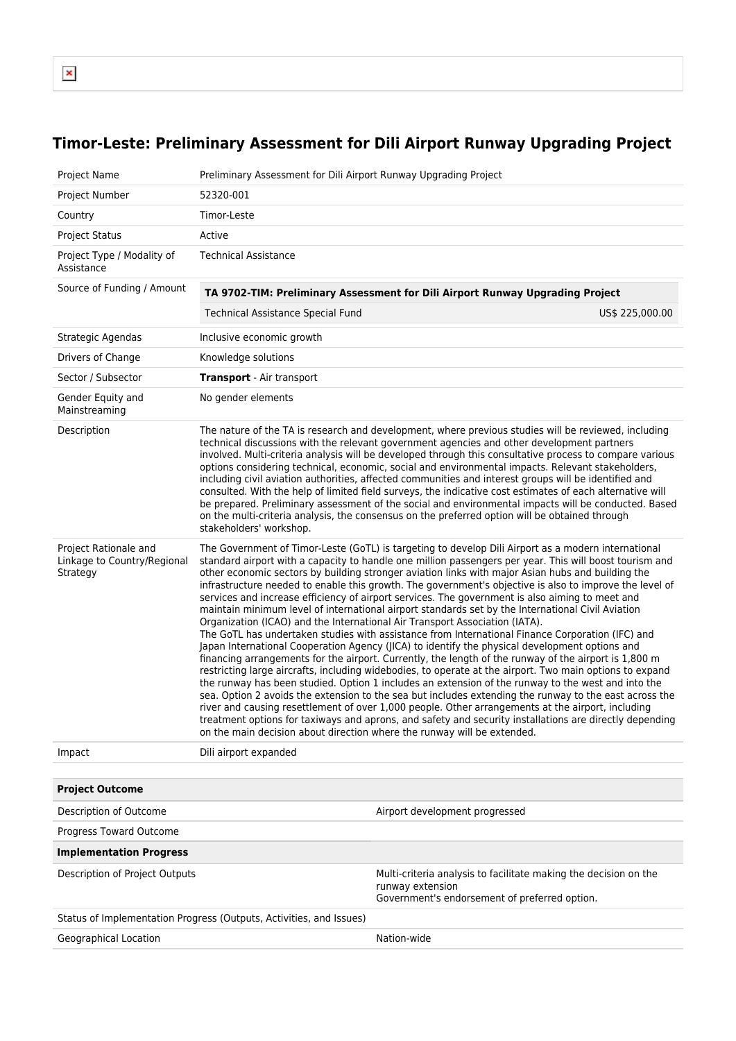## **Timor-Leste: Preliminary Assessment for Dili Airport Runway Upgrading Project**

| <b>Project Name</b>                                              | Preliminary Assessment for Dili Airport Runway Upgrading Project                                                                                                                                                                                                                                                                                                                                                                                                                                                                                                                                                                                                                                                                                                                                                                                                                                                                                                                                                                                                                                                                                                                                                                                                                                                                                                                                                                                                                                                                                                                                                                                            |                                                                                                                                       |                 |  |  |
|------------------------------------------------------------------|-------------------------------------------------------------------------------------------------------------------------------------------------------------------------------------------------------------------------------------------------------------------------------------------------------------------------------------------------------------------------------------------------------------------------------------------------------------------------------------------------------------------------------------------------------------------------------------------------------------------------------------------------------------------------------------------------------------------------------------------------------------------------------------------------------------------------------------------------------------------------------------------------------------------------------------------------------------------------------------------------------------------------------------------------------------------------------------------------------------------------------------------------------------------------------------------------------------------------------------------------------------------------------------------------------------------------------------------------------------------------------------------------------------------------------------------------------------------------------------------------------------------------------------------------------------------------------------------------------------------------------------------------------------|---------------------------------------------------------------------------------------------------------------------------------------|-----------------|--|--|
| Project Number                                                   | 52320-001                                                                                                                                                                                                                                                                                                                                                                                                                                                                                                                                                                                                                                                                                                                                                                                                                                                                                                                                                                                                                                                                                                                                                                                                                                                                                                                                                                                                                                                                                                                                                                                                                                                   |                                                                                                                                       |                 |  |  |
| Country                                                          | Timor-Leste                                                                                                                                                                                                                                                                                                                                                                                                                                                                                                                                                                                                                                                                                                                                                                                                                                                                                                                                                                                                                                                                                                                                                                                                                                                                                                                                                                                                                                                                                                                                                                                                                                                 |                                                                                                                                       |                 |  |  |
| <b>Project Status</b>                                            | Active                                                                                                                                                                                                                                                                                                                                                                                                                                                                                                                                                                                                                                                                                                                                                                                                                                                                                                                                                                                                                                                                                                                                                                                                                                                                                                                                                                                                                                                                                                                                                                                                                                                      |                                                                                                                                       |                 |  |  |
| Project Type / Modality of<br>Assistance                         | <b>Technical Assistance</b>                                                                                                                                                                                                                                                                                                                                                                                                                                                                                                                                                                                                                                                                                                                                                                                                                                                                                                                                                                                                                                                                                                                                                                                                                                                                                                                                                                                                                                                                                                                                                                                                                                 |                                                                                                                                       |                 |  |  |
| Source of Funding / Amount                                       | TA 9702-TIM: Preliminary Assessment for Dili Airport Runway Upgrading Project                                                                                                                                                                                                                                                                                                                                                                                                                                                                                                                                                                                                                                                                                                                                                                                                                                                                                                                                                                                                                                                                                                                                                                                                                                                                                                                                                                                                                                                                                                                                                                               |                                                                                                                                       |                 |  |  |
|                                                                  | Technical Assistance Special Fund                                                                                                                                                                                                                                                                                                                                                                                                                                                                                                                                                                                                                                                                                                                                                                                                                                                                                                                                                                                                                                                                                                                                                                                                                                                                                                                                                                                                                                                                                                                                                                                                                           |                                                                                                                                       | US\$ 225,000.00 |  |  |
| Strategic Agendas                                                | Inclusive economic growth                                                                                                                                                                                                                                                                                                                                                                                                                                                                                                                                                                                                                                                                                                                                                                                                                                                                                                                                                                                                                                                                                                                                                                                                                                                                                                                                                                                                                                                                                                                                                                                                                                   |                                                                                                                                       |                 |  |  |
| Drivers of Change                                                | Knowledge solutions                                                                                                                                                                                                                                                                                                                                                                                                                                                                                                                                                                                                                                                                                                                                                                                                                                                                                                                                                                                                                                                                                                                                                                                                                                                                                                                                                                                                                                                                                                                                                                                                                                         |                                                                                                                                       |                 |  |  |
| Sector / Subsector                                               | <b>Transport</b> - Air transport                                                                                                                                                                                                                                                                                                                                                                                                                                                                                                                                                                                                                                                                                                                                                                                                                                                                                                                                                                                                                                                                                                                                                                                                                                                                                                                                                                                                                                                                                                                                                                                                                            |                                                                                                                                       |                 |  |  |
| Gender Equity and<br>Mainstreaming                               | No gender elements                                                                                                                                                                                                                                                                                                                                                                                                                                                                                                                                                                                                                                                                                                                                                                                                                                                                                                                                                                                                                                                                                                                                                                                                                                                                                                                                                                                                                                                                                                                                                                                                                                          |                                                                                                                                       |                 |  |  |
| Description                                                      | The nature of the TA is research and development, where previous studies will be reviewed, including<br>technical discussions with the relevant government agencies and other development partners<br>involved. Multi-criteria analysis will be developed through this consultative process to compare various<br>options considering technical, economic, social and environmental impacts. Relevant stakeholders,<br>including civil aviation authorities, affected communities and interest groups will be identified and<br>consulted. With the help of limited field surveys, the indicative cost estimates of each alternative will<br>be prepared. Preliminary assessment of the social and environmental impacts will be conducted. Based<br>on the multi-criteria analysis, the consensus on the preferred option will be obtained through<br>stakeholders' workshop.                                                                                                                                                                                                                                                                                                                                                                                                                                                                                                                                                                                                                                                                                                                                                                              |                                                                                                                                       |                 |  |  |
| Project Rationale and<br>Linkage to Country/Regional<br>Strategy | The Government of Timor-Leste (GoTL) is targeting to develop Dili Airport as a modern international<br>standard airport with a capacity to handle one million passengers per year. This will boost tourism and<br>other economic sectors by building stronger aviation links with major Asian hubs and building the<br>infrastructure needed to enable this growth. The government's objective is also to improve the level of<br>services and increase efficiency of airport services. The government is also aiming to meet and<br>maintain minimum level of international airport standards set by the International Civil Aviation<br>Organization (ICAO) and the International Air Transport Association (IATA).<br>The GoTL has undertaken studies with assistance from International Finance Corporation (IFC) and<br>Japan International Cooperation Agency (JICA) to identify the physical development options and<br>financing arrangements for the airport. Currently, the length of the runway of the airport is 1,800 m<br>restricting large aircrafts, including widebodies, to operate at the airport. Two main options to expand<br>the runway has been studied. Option 1 includes an extension of the runway to the west and into the<br>sea. Option 2 avoids the extension to the sea but includes extending the runway to the east across the<br>river and causing resettlement of over 1,000 people. Other arrangements at the airport, including<br>treatment options for taxiways and aprons, and safety and security installations are directly depending<br>on the main decision about direction where the runway will be extended. |                                                                                                                                       |                 |  |  |
| Impact                                                           | Dili airport expanded                                                                                                                                                                                                                                                                                                                                                                                                                                                                                                                                                                                                                                                                                                                                                                                                                                                                                                                                                                                                                                                                                                                                                                                                                                                                                                                                                                                                                                                                                                                                                                                                                                       |                                                                                                                                       |                 |  |  |
| <b>Project Outcome</b>                                           |                                                                                                                                                                                                                                                                                                                                                                                                                                                                                                                                                                                                                                                                                                                                                                                                                                                                                                                                                                                                                                                                                                                                                                                                                                                                                                                                                                                                                                                                                                                                                                                                                                                             |                                                                                                                                       |                 |  |  |
| Description of Outcome                                           |                                                                                                                                                                                                                                                                                                                                                                                                                                                                                                                                                                                                                                                                                                                                                                                                                                                                                                                                                                                                                                                                                                                                                                                                                                                                                                                                                                                                                                                                                                                                                                                                                                                             | Airport development progressed                                                                                                        |                 |  |  |
| Progress Toward Outcome                                          |                                                                                                                                                                                                                                                                                                                                                                                                                                                                                                                                                                                                                                                                                                                                                                                                                                                                                                                                                                                                                                                                                                                                                                                                                                                                                                                                                                                                                                                                                                                                                                                                                                                             |                                                                                                                                       |                 |  |  |
| <b>Implementation Progress</b>                                   |                                                                                                                                                                                                                                                                                                                                                                                                                                                                                                                                                                                                                                                                                                                                                                                                                                                                                                                                                                                                                                                                                                                                                                                                                                                                                                                                                                                                                                                                                                                                                                                                                                                             |                                                                                                                                       |                 |  |  |
| Description of Project Outputs                                   |                                                                                                                                                                                                                                                                                                                                                                                                                                                                                                                                                                                                                                                                                                                                                                                                                                                                                                                                                                                                                                                                                                                                                                                                                                                                                                                                                                                                                                                                                                                                                                                                                                                             | Multi-criteria analysis to facilitate making the decision on the<br>runway extension<br>Government's endorsement of preferred option. |                 |  |  |
|                                                                  | Status of Implementation Progress (Outputs, Activities, and Issues)                                                                                                                                                                                                                                                                                                                                                                                                                                                                                                                                                                                                                                                                                                                                                                                                                                                                                                                                                                                                                                                                                                                                                                                                                                                                                                                                                                                                                                                                                                                                                                                         |                                                                                                                                       |                 |  |  |
| Geographical Location                                            |                                                                                                                                                                                                                                                                                                                                                                                                                                                                                                                                                                                                                                                                                                                                                                                                                                                                                                                                                                                                                                                                                                                                                                                                                                                                                                                                                                                                                                                                                                                                                                                                                                                             | Nation-wide                                                                                                                           |                 |  |  |
|                                                                  |                                                                                                                                                                                                                                                                                                                                                                                                                                                                                                                                                                                                                                                                                                                                                                                                                                                                                                                                                                                                                                                                                                                                                                                                                                                                                                                                                                                                                                                                                                                                                                                                                                                             |                                                                                                                                       |                 |  |  |